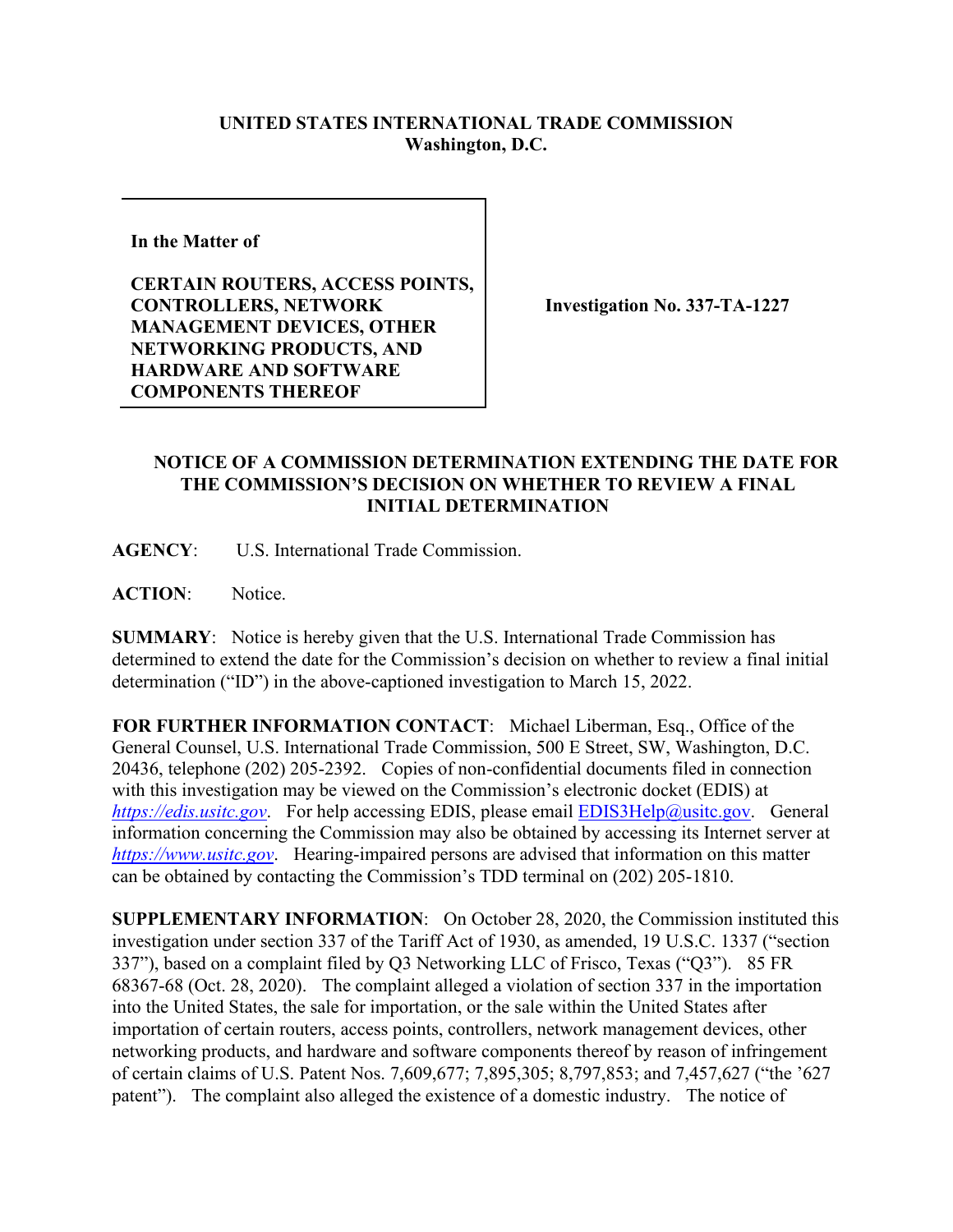## **UNITED STATES INTERNATIONAL TRADE COMMISSION Washington, D.C.**

**In the Matter of** 

**CERTAIN ROUTERS, ACCESS POINTS, CONTROLLERS, NETWORK MANAGEMENT DEVICES, OTHER NETWORKING PRODUCTS, AND HARDWARE AND SOFTWARE COMPONENTS THEREOF**

**Investigation No. 337-TA-1227**

## **NOTICE OF A COMMISSION DETERMINATION EXTENDING THE DATE FOR THE COMMISSION'S DECISION ON WHETHER TO REVIEW A FINAL INITIAL DETERMINATION**

**AGENCY**: U.S. International Trade Commission.

**ACTION**: Notice.

**SUMMARY**: Notice is hereby given that the U.S. International Trade Commission has determined to extend the date for the Commission's decision on whether to review a final initial determination ("ID") in the above-captioned investigation to March 15, 2022.

**FOR FURTHER INFORMATION CONTACT**: Michael Liberman, Esq., Office of the General Counsel, U.S. International Trade Commission, 500 E Street, SW, Washington, D.C. 20436, telephone (202) 205-2392. Copies of non-confidential documents filed in connection with this investigation may be viewed on the Commission's electronic docket (EDIS) at *[https://edis.usitc.gov](https://edis.usitc.gov/).* For help accessing EDIS, please email **EDIS3Help@usitc.gov.** General information concerning the Commission may also be obtained by accessing its Internet server at *[https://www.usitc.gov](https://www.usitc.gov/)*. Hearing-impaired persons are advised that information on this matter can be obtained by contacting the Commission's TDD terminal on (202) 205-1810.

**SUPPLEMENTARY INFORMATION**: On October 28, 2020, the Commission instituted this investigation under section 337 of the Tariff Act of 1930, as amended, 19 U.S.C. 1337 ("section 337"), based on a complaint filed by Q3 Networking LLC of Frisco, Texas ("Q3"). 85 FR 68367-68 (Oct. 28, 2020). The complaint alleged a violation of section 337 in the importation into the United States, the sale for importation, or the sale within the United States after importation of certain routers, access points, controllers, network management devices, other networking products, and hardware and software components thereof by reason of infringement of certain claims of U.S. Patent Nos. 7,609,677; 7,895,305; 8,797,853; and 7,457,627 ("the '627 patent"). The complaint also alleged the existence of a domestic industry. The notice of